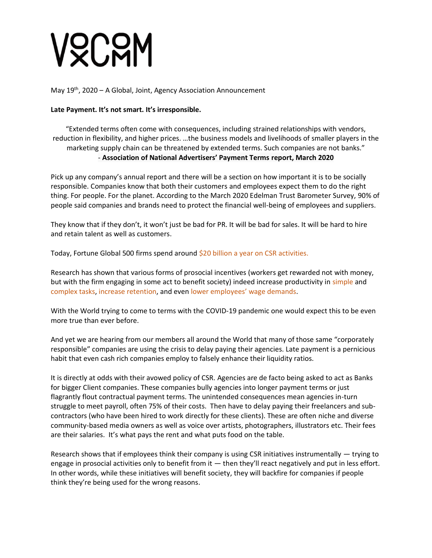# VQCQM

May 19<sup>th</sup>, 2020 - A Global, Joint, Agency Association Announcement

## **Late Payment. It's not smart. It's irresponsible.**

"Extended terms often come with consequences, including strained relationships with vendors, reduction in flexibility, and higher prices. …the business models and livelihoods of smaller players in the marketing supply chain can be threatened by extended terms. Such companies are not banks." - **Association of National Advertisers' Payment Terms report, March 2020**

Pick up any company's annual report and there will be a section on how important it is to be socially responsible. Companies know that both their customers and employees expect them to do the right thing. For people. For the planet. According to the March 2020 Edelman Trust Barometer Survey, 90% of people said companies and brands need to protect the financial well-being of employees and suppliers.

They know that if they don't, it won't just be bad for PR. It will be bad for sales. It will be hard to hire and retain talent as well as customers.

Today, Fortune Global 500 firms spend around \$20 billion a year on CSR activities.

Research has shown that various forms of prosocial incentives (workers get rewarded not with money, but with the firm engaging in some act to benefit society) indeed increase productivity in simple and complex tasks, increase retention, and even lower employees' wage demands.

With the World trying to come to terms with the COVID-19 pandemic one would expect this to be even more true than ever before.

And yet we are hearing from our members all around the World that many of those same "corporately responsible" companies are using the crisis to delay paying their agencies. Late payment is a pernicious habit that even cash rich companies employ to falsely enhance their liquidity ratios.

It is directly at odds with their avowed policy of CSR. Agencies are de facto being asked to act as Banks for bigger Client companies. These companies bully agencies into longer payment terms or just flagrantly flout contractual payment terms. The unintended consequences mean agencies in-turn struggle to meet payroll, often 75% of their costs. Then have to delay paying their freelancers and subcontractors (who have been hired to work directly for these clients). These are often niche and diverse community-based media owners as well as voice over artists, photographers, illustrators etc. Their fees are their salaries. It's what pays the rent and what puts food on the table.

Research shows that if employees think their company is using CSR initiatives instrumentally — trying to engage in prosocial activities only to benefit from it  $-$  then they'll react negatively and put in less effort. In other words, while these initiatives will benefit society, they will backfire for companies if people think they're being used for the wrong reasons.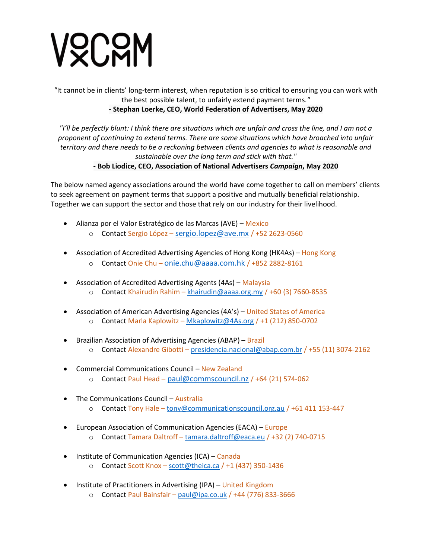# VOCOM

*"*It cannot be in clients' long-term interest, when reputation is so critical to ensuring you can work with the best possible talent, to unfairly extend payment terms.*"* **- Stephan Loerke, CEO, World Federation of Advertisers, May 2020**

*"I'll be perfectly blunt: I think there are situations which are unfair and cross the line, and I am not a proponent of continuing to extend terms. There are some situations which have broached into unfair territory and there needs to be a reckoning between clients and agencies to what is reasonable and sustainable over the long term and stick with that."*

# **- Bob Liodice, CEO, Association of National Advertisers** *Campaign***, May 2020**

The below named agency associations around the world have come together to call on members' clients to seek agreement on payment terms that support a positive and mutually beneficial relationship. Together we can support the sector and those that rely on our industry for their livelihood.

- Alianza por el Valor Estratégico de las Marcas (AVE) Mexico
	- o Contact Sergio López [sergio.lopez@ave.mx](mailto:sergio.lopez@ave.mx) / +52 2623-0560
- Association of Accredited Advertising Agencies of Hong Kong (HK4As) Hong Kong
	- o Contact Onie Chu [onie.chu@aaaa.com.hk](mailto:onie.chu@aaaa.com.hk) / +852 2882-8161
- Association of Accredited Advertising Agents (4As) Malaysia o Contact Khairudin Rahim – [khairudin@aaaa.org.my](mailto:khairudin@aaaa.org.my) / +60 (3) 7660-8535
- Association of American Advertising Agencies (4A's) United States of America o Contact Marla Kaplowitz – [Mkaplowitz@4As.org](mailto:Mkaplowitz@4As.org) / +1 (212) 850-0702
- Brazilian Association of Advertising Agencies (ABAP) Brazil o Contact Alexandre Gibotti – [presidencia.nacional@abap.com.br](mailto:presidencia.nacional@abap.com.br) / +55 (11) 3074-2162
- Commercial Communications Council New Zealand o Contact Paul Head – [paul@commscouncil.nz](mailto:paul@commscouncil.nz) / +64 (21) 574-062
- The Communications Council Australia o Contact Tony Hale - [tony@communicationscouncil.org.au](mailto:tony@communicationscouncil.org.au) / +61 411 153-447
- European Association of Communication Agencies (EACA) Europe
	- o Contact Tamara Daltroff [tamara.daltroff@eaca.eu](mailto:tamara.daltroff@eaca.eu) / +32 (2) 740-0715
- Institute of Communication Agencies (ICA) Canada
	- o Contact Scott Knox [scott@theica.ca](mailto:scott@theica.ca) / +1 (437) 350-1436
- Institute of Practitioners in Advertising (IPA) United Kingdom
	- $\circ$  Contact Paul Bainsfair [paul@ipa.co.uk](mailto:paul@ipa.co.uk) / +44 (776) 833-3666